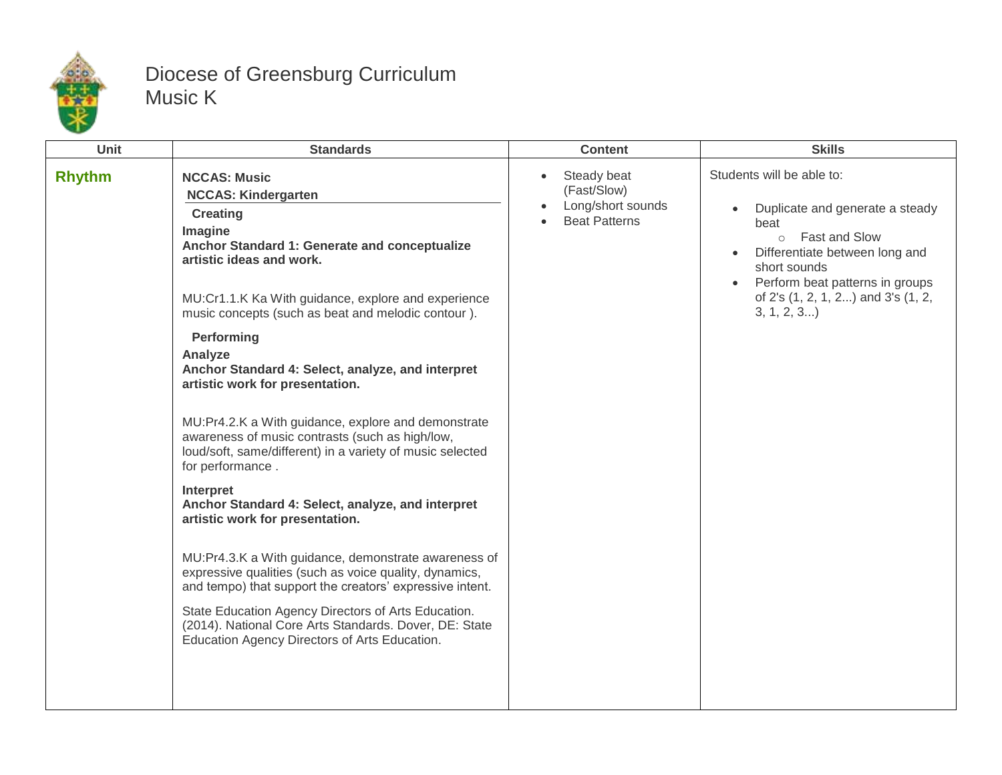

## Diocese of Greensburg Curriculum Music K

| <b>Unit</b>   | <b>Standards</b>                                                                                                                                                                                                                                                                                                                                                                                                                                                                                                                                                                                                                                                                                                                                                                                                                                                                                                                                                                                                                           | <b>Content</b>                                                                                    | <b>Skills</b>                                                                                                                                                                                                                                                           |
|---------------|--------------------------------------------------------------------------------------------------------------------------------------------------------------------------------------------------------------------------------------------------------------------------------------------------------------------------------------------------------------------------------------------------------------------------------------------------------------------------------------------------------------------------------------------------------------------------------------------------------------------------------------------------------------------------------------------------------------------------------------------------------------------------------------------------------------------------------------------------------------------------------------------------------------------------------------------------------------------------------------------------------------------------------------------|---------------------------------------------------------------------------------------------------|-------------------------------------------------------------------------------------------------------------------------------------------------------------------------------------------------------------------------------------------------------------------------|
| <b>Rhythm</b> | <b>NCCAS: Music</b><br><b>NCCAS: Kindergarten</b><br><b>Creating</b><br>Imagine<br>Anchor Standard 1: Generate and conceptualize<br>artistic ideas and work.<br>MU:Cr1.1.K Ka With guidance, explore and experience<br>music concepts (such as beat and melodic contour).<br>Performing<br>Analyze<br>Anchor Standard 4: Select, analyze, and interpret<br>artistic work for presentation.<br>MU:Pr4.2.K a With guidance, explore and demonstrate<br>awareness of music contrasts (such as high/low,<br>loud/soft, same/different) in a variety of music selected<br>for performance.<br>Interpret<br>Anchor Standard 4: Select, analyze, and interpret<br>artistic work for presentation.<br>MU:Pr4.3.K a With guidance, demonstrate awareness of<br>expressive qualities (such as voice quality, dynamics,<br>and tempo) that support the creators' expressive intent.<br>State Education Agency Directors of Arts Education.<br>(2014). National Core Arts Standards. Dover, DE: State<br>Education Agency Directors of Arts Education. | Steady beat<br>$\bullet$<br>(Fast/Slow)<br>Long/short sounds<br>$\bullet$<br><b>Beat Patterns</b> | Students will be able to:<br>Duplicate and generate a steady<br>$\bullet$<br>beat<br>o Fast and Slow<br>Differentiate between long and<br>$\bullet$<br>short sounds<br>Perform beat patterns in groups<br>$\bullet$<br>of 2's (1, 2, 1, 2) and 3's (1, 2,<br>3, 1, 2, 3 |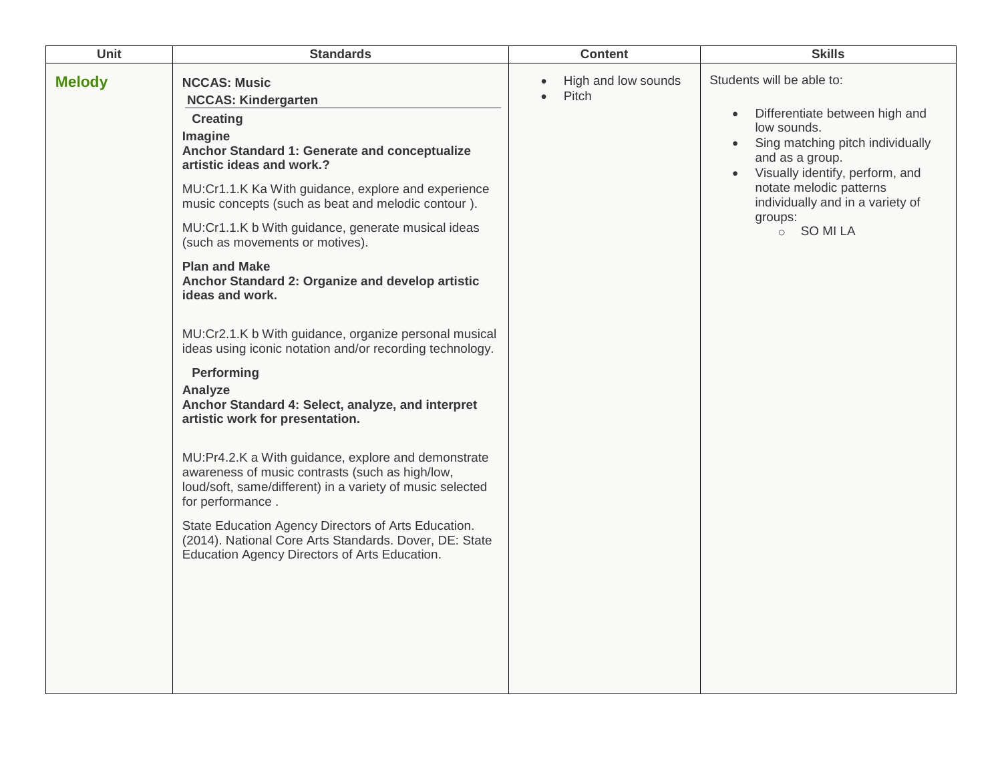| Unit          | <b>Standards</b>                                                                                                                                                                                                                                                                                                                                                                                                                                                                                                                                                                                                                                                                                                                                                                                                                                                                                                                                                                                                                                                      | <b>Content</b>                            | <b>Skills</b>                                                                                                                                                                                                                                                                                     |
|---------------|-----------------------------------------------------------------------------------------------------------------------------------------------------------------------------------------------------------------------------------------------------------------------------------------------------------------------------------------------------------------------------------------------------------------------------------------------------------------------------------------------------------------------------------------------------------------------------------------------------------------------------------------------------------------------------------------------------------------------------------------------------------------------------------------------------------------------------------------------------------------------------------------------------------------------------------------------------------------------------------------------------------------------------------------------------------------------|-------------------------------------------|---------------------------------------------------------------------------------------------------------------------------------------------------------------------------------------------------------------------------------------------------------------------------------------------------|
| <b>Melody</b> | <b>NCCAS: Music</b><br><b>NCCAS: Kindergarten</b><br><b>Creating</b><br>Imagine<br>Anchor Standard 1: Generate and conceptualize<br>artistic ideas and work.?<br>MU:Cr1.1.K Ka With guidance, explore and experience<br>music concepts (such as beat and melodic contour).<br>MU:Cr1.1.K b With guidance, generate musical ideas<br>(such as movements or motives).<br><b>Plan and Make</b><br>Anchor Standard 2: Organize and develop artistic<br>ideas and work.<br>MU:Cr2.1.K b With guidance, organize personal musical<br>ideas using iconic notation and/or recording technology.<br>Performing<br>Analyze<br>Anchor Standard 4: Select, analyze, and interpret<br>artistic work for presentation.<br>MU:Pr4.2.K a With guidance, explore and demonstrate<br>awareness of music contrasts (such as high/low,<br>loud/soft, same/different) in a variety of music selected<br>for performance.<br>State Education Agency Directors of Arts Education.<br>(2014). National Core Arts Standards. Dover, DE: State<br>Education Agency Directors of Arts Education. | High and low sounds<br>Pitch<br>$\bullet$ | Students will be able to:<br>Differentiate between high and<br>$\bullet$<br>low sounds.<br>Sing matching pitch individually<br>$\bullet$<br>and as a group.<br>Visually identify, perform, and<br>$\bullet$<br>notate melodic patterns<br>individually and in a variety of<br>groups:<br>o SOMILA |
|               |                                                                                                                                                                                                                                                                                                                                                                                                                                                                                                                                                                                                                                                                                                                                                                                                                                                                                                                                                                                                                                                                       |                                           |                                                                                                                                                                                                                                                                                                   |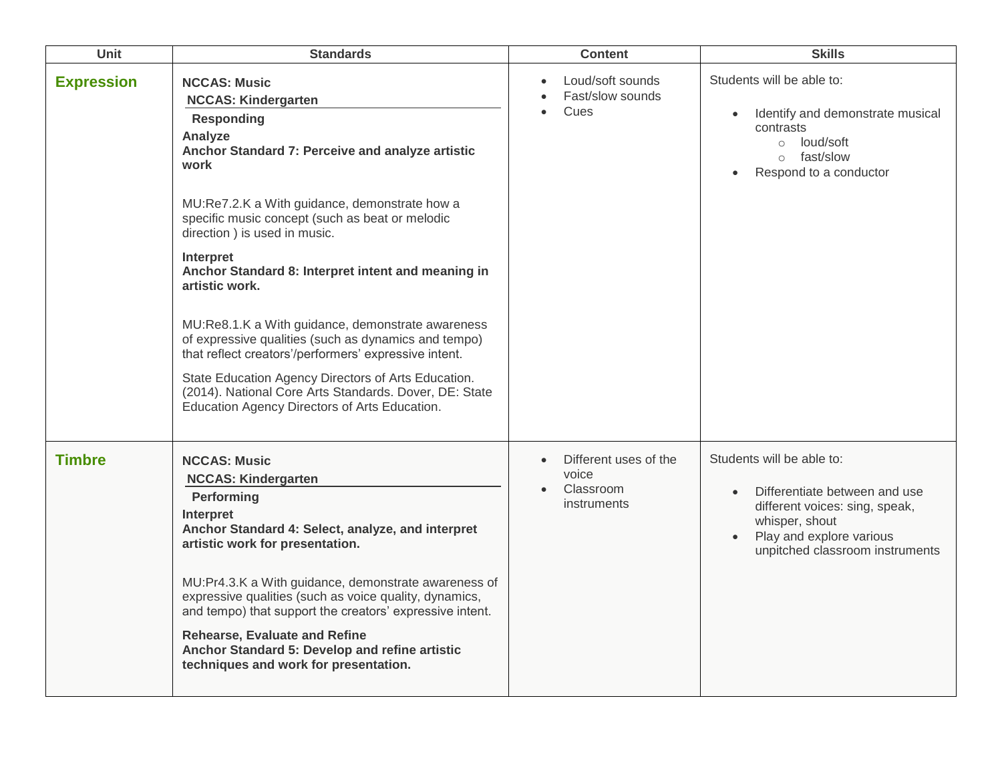| <b>Unit</b>       | <b>Standards</b>                                                                                                                                                                                                                                                                                                                                                                                                                                                                                                                                                                                                                                                                                                | <b>Content</b>                                                    | <b>Skills</b>                                                                                                                                                                                           |
|-------------------|-----------------------------------------------------------------------------------------------------------------------------------------------------------------------------------------------------------------------------------------------------------------------------------------------------------------------------------------------------------------------------------------------------------------------------------------------------------------------------------------------------------------------------------------------------------------------------------------------------------------------------------------------------------------------------------------------------------------|-------------------------------------------------------------------|---------------------------------------------------------------------------------------------------------------------------------------------------------------------------------------------------------|
| <b>Expression</b> | <b>NCCAS: Music</b><br><b>NCCAS: Kindergarten</b><br><b>Responding</b><br>Analyze<br>Anchor Standard 7: Perceive and analyze artistic<br>work<br>MU:Re7.2.K a With guidance, demonstrate how a<br>specific music concept (such as beat or melodic<br>direction ) is used in music.<br>Interpret<br>Anchor Standard 8: Interpret intent and meaning in<br>artistic work.<br>MU:Re8.1.K a With guidance, demonstrate awareness<br>of expressive qualities (such as dynamics and tempo)<br>that reflect creators'/performers' expressive intent.<br>State Education Agency Directors of Arts Education.<br>(2014). National Core Arts Standards. Dover, DE: State<br>Education Agency Directors of Arts Education. | Loud/soft sounds<br>Fast/slow sounds<br>Cues                      | Students will be able to:<br>Identify and demonstrate musical<br>$\bullet$<br>contrasts<br>o loud/soft<br>o fast/slow<br>Respond to a conductor<br>$\bullet$                                            |
| <b>Timbre</b>     | <b>NCCAS: Music</b><br><b>NCCAS: Kindergarten</b><br>Performing<br>Interpret<br>Anchor Standard 4: Select, analyze, and interpret<br>artistic work for presentation.<br>MU:Pr4.3.K a With guidance, demonstrate awareness of<br>expressive qualities (such as voice quality, dynamics,<br>and tempo) that support the creators' expressive intent.<br><b>Rehearse, Evaluate and Refine</b><br>Anchor Standard 5: Develop and refine artistic<br>techniques and work for presentation.                                                                                                                                                                                                                           | Different uses of the<br>voice<br>Classroom<br><i>instruments</i> | Students will be able to:<br>Differentiate between and use<br>$\bullet$<br>different voices: sing, speak,<br>whisper, shout<br>Play and explore various<br>$\bullet$<br>unpitched classroom instruments |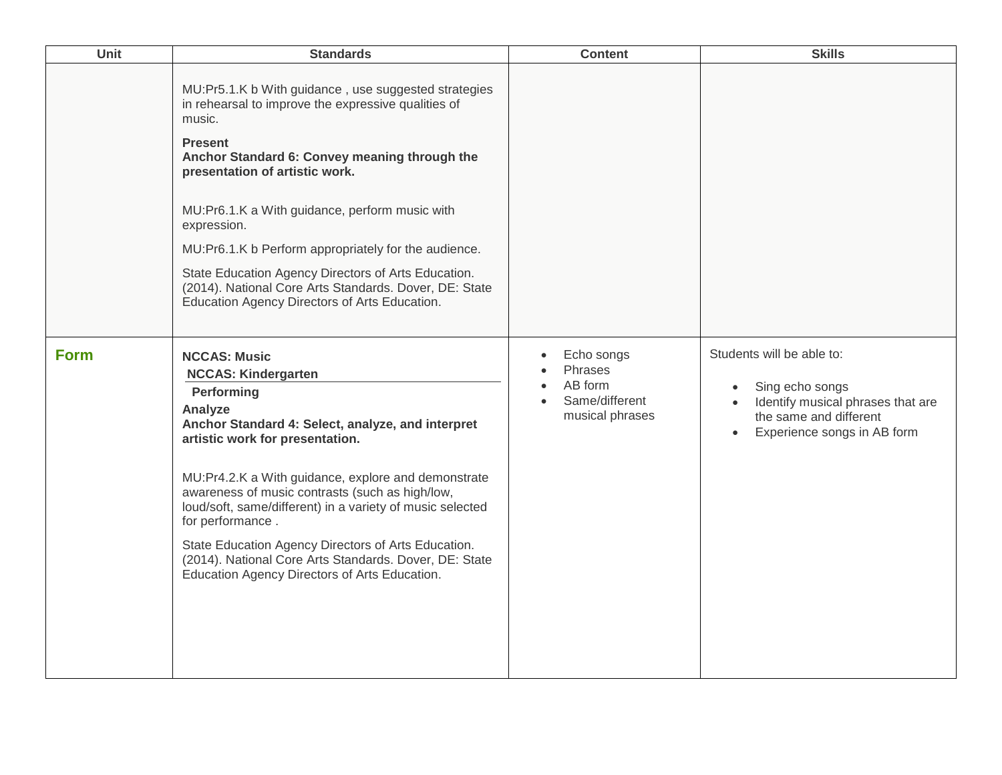| Unit        | <b>Standards</b>                                                                                                                                                                                                                                                                                                                                                                                                                                                                                                                | <b>Content</b>                                                        | <b>Skills</b>                                                                                                                                                                     |
|-------------|---------------------------------------------------------------------------------------------------------------------------------------------------------------------------------------------------------------------------------------------------------------------------------------------------------------------------------------------------------------------------------------------------------------------------------------------------------------------------------------------------------------------------------|-----------------------------------------------------------------------|-----------------------------------------------------------------------------------------------------------------------------------------------------------------------------------|
|             | MU:Pr5.1.K b With guidance, use suggested strategies<br>in rehearsal to improve the expressive qualities of<br>music.<br><b>Present</b><br>Anchor Standard 6: Convey meaning through the<br>presentation of artistic work.<br>MU:Pr6.1.K a With guidance, perform music with<br>expression.<br>MU:Pr6.1.K b Perform appropriately for the audience.<br>State Education Agency Directors of Arts Education.<br>(2014). National Core Arts Standards. Dover, DE: State<br>Education Agency Directors of Arts Education.           |                                                                       |                                                                                                                                                                                   |
| <b>Form</b> | <b>NCCAS: Music</b><br><b>NCCAS: Kindergarten</b><br>Performing<br>Analyze<br>Anchor Standard 4: Select, analyze, and interpret<br>artistic work for presentation.<br>MU:Pr4.2.K a With guidance, explore and demonstrate<br>awareness of music contrasts (such as high/low,<br>loud/soft, same/different) in a variety of music selected<br>for performance.<br>State Education Agency Directors of Arts Education.<br>(2014). National Core Arts Standards. Dover, DE: State<br>Education Agency Directors of Arts Education. | Echo songs<br>Phrases<br>AB form<br>Same/different<br>musical phrases | Students will be able to:<br>Sing echo songs<br>$\bullet$<br>Identify musical phrases that are<br>$\bullet$<br>the same and different<br>Experience songs in AB form<br>$\bullet$ |